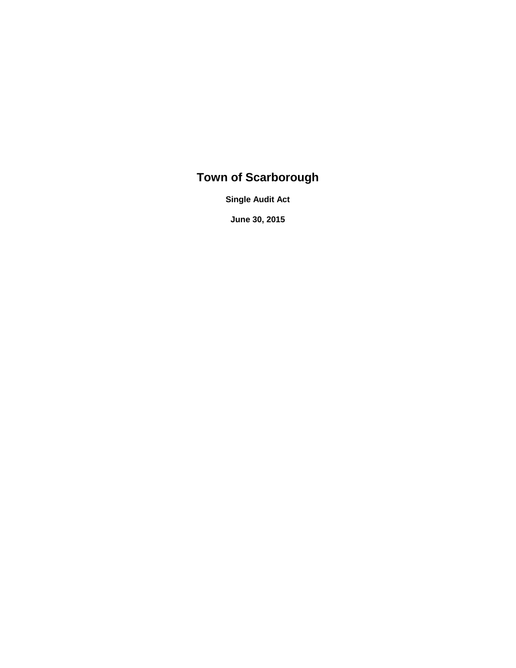# **Town of Scarborough**

**Single Audit Act**

**June 30, 2015**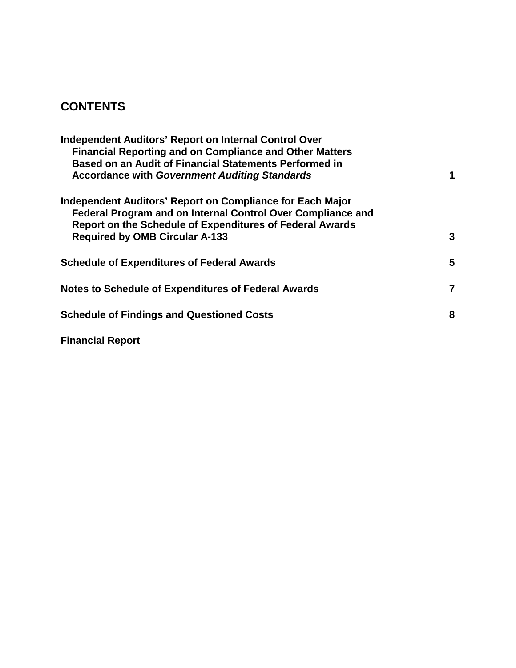## **CONTENTS**

| <b>Independent Auditors' Report on Internal Control Over</b><br><b>Financial Reporting and on Compliance and Other Matters</b>                                                                                                       |   |
|--------------------------------------------------------------------------------------------------------------------------------------------------------------------------------------------------------------------------------------|---|
| <b>Based on an Audit of Financial Statements Performed in</b><br><b>Accordance with Government Auditing Standards</b>                                                                                                                | 1 |
| Independent Auditors' Report on Compliance for Each Major<br>Federal Program and on Internal Control Over Compliance and<br><b>Report on the Schedule of Expenditures of Federal Awards</b><br><b>Required by OMB Circular A-133</b> | 3 |
| <b>Schedule of Expenditures of Federal Awards</b>                                                                                                                                                                                    | 5 |
| <b>Notes to Schedule of Expenditures of Federal Awards</b>                                                                                                                                                                           | 7 |
| <b>Schedule of Findings and Questioned Costs</b>                                                                                                                                                                                     | 8 |
| <b>Financial Report</b>                                                                                                                                                                                                              |   |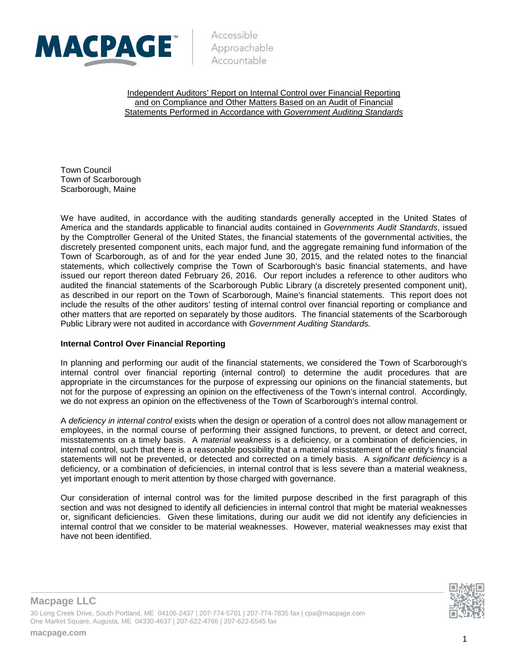

Accessible Approachable Accountable

Independent Auditors' Report on Internal Control over Financial Reporting and on Compliance and Other Matters Based on an Audit of Financial Statements Performed in Accordance with *Government Auditing Standards*

Town Council Town of Scarborough Scarborough, Maine

We have audited, in accordance with the auditing standards generally accepted in the United States of America and the standards applicable to financial audits contained in *Governments Audit Standards*, issued by the Comptroller General of the United States, the financial statements of the governmental activities, the discretely presented component units, each major fund, and the aggregate remaining fund information of the Town of Scarborough, as of and for the year ended June 30, 2015, and the related notes to the financial statements, which collectively comprise the Town of Scarborough's basic financial statements, and have issued our report thereon dated February 26, 2016. Our report includes a reference to other auditors who audited the financial statements of the Scarborough Public Library (a discretely presented component unit), as described in our report on the Town of Scarborough, Maine's financial statements. This report does not include the results of the other auditors' testing of internal control over financial reporting or compliance and other matters that are reported on separately by those auditors. The financial statements of the Scarborough Public Library were not audited in accordance with *Government Auditing Standards.*

### **Internal Control Over Financial Reporting**

In planning and performing our audit of the financial statements, we considered the Town of Scarborough's internal control over financial reporting (internal control) to determine the audit procedures that are appropriate in the circumstances for the purpose of expressing our opinions on the financial statements, but not for the purpose of expressing an opinion on the effectiveness of the Town's internal control. Accordingly, we do not express an opinion on the effectiveness of the Town of Scarborough's internal control.

A *deficiency in internal control* exists when the design or operation of a control does not allow management or employees, in the normal course of performing their assigned functions, to prevent, or detect and correct, misstatements on a timely basis. A *material weakness* is a deficiency, or a combination of deficiencies, in internal control, such that there is a reasonable possibility that a material misstatement of the entity's financial statements will not be prevented, or detected and corrected on a timely basis. A *significant deficiency* is a deficiency, or a combination of deficiencies, in internal control that is less severe than a material weakness, yet important enough to merit attention by those charged with governance.

Our consideration of internal control was for the limited purpose described in the first paragraph of this section and was not designed to identify all deficiencies in internal control that might be material weaknesses or, significant deficiencies. Given these limitations, during our audit we did not identify any deficiencies in internal control that we consider to be material weaknesses. However, material weaknesses may exist that have not been identified.



30 Long Creek Drive, South Portland, ME 04106-2437 | 207-774-5701 | 207-774-7835 fax | cpa@macpage.com One Market Square, Augusta, ME 04330-4637 | 207-622-4766 | 207-622-6545 fax

**Macpage LLC**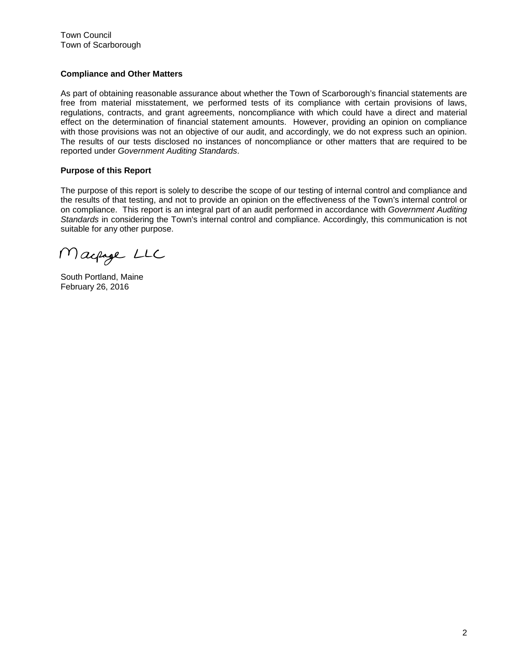### **Compliance and Other Matters**

As part of obtaining reasonable assurance about whether the Town of Scarborough's financial statements are free from material misstatement, we performed tests of its compliance with certain provisions of laws, regulations, contracts, and grant agreements, noncompliance with which could have a direct and material effect on the determination of financial statement amounts. However, providing an opinion on compliance with those provisions was not an objective of our audit, and accordingly, we do not express such an opinion. The results of our tests disclosed no instances of noncompliance or other matters that are required to be reported under *Government Auditing Standards*.

### **Purpose of this Report**

The purpose of this report is solely to describe the scope of our testing of internal control and compliance and the results of that testing, and not to provide an opinion on the effectiveness of the Town's internal control or on compliance. This report is an integral part of an audit performed in accordance with *Government Auditing Standards* in considering the Town's internal control and compliance. Accordingly, this communication is not suitable for any other purpose.

Macpage LLC

South Portland, Maine February 26, 2016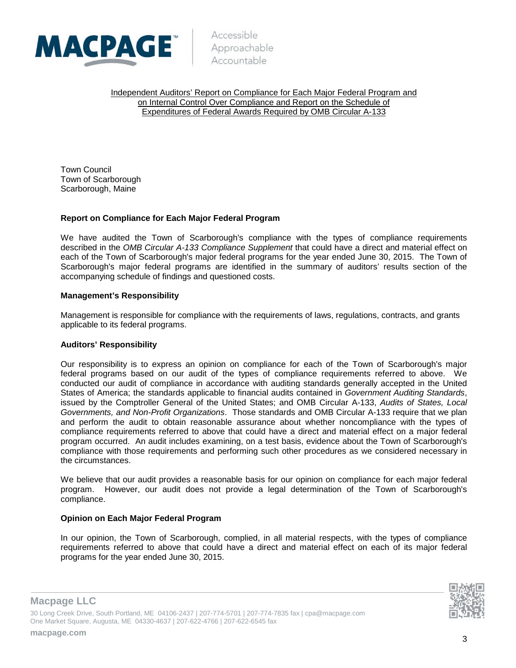

Approachable Accountable

Independent Auditors' Report on Compliance for Each Major Federal Program and on Internal Control Over Compliance and Report on the Schedule of Expenditures of Federal Awards Required by OMB Circular A-133

Town Council Town of Scarborough Scarborough, Maine

### **Report on Compliance for Each Major Federal Program**

We have audited the Town of Scarborough's compliance with the types of compliance requirements described in the *OMB Circular A-133 Compliance Supplement* that could have a direct and material effect on each of the Town of Scarborough's major federal programs for the year ended June 30, 2015. The Town of Scarborough's major federal programs are identified in the summary of auditors' results section of the accompanying schedule of findings and questioned costs.

### **Management's Responsibility**

Management is responsible for compliance with the requirements of laws, regulations, contracts, and grants applicable to its federal programs.

### **Auditors' Responsibility**

Our responsibility is to express an opinion on compliance for each of the Town of Scarborough's major federal programs based on our audit of the types of compliance requirements referred to above. We conducted our audit of compliance in accordance with auditing standards generally accepted in the United States of America; the standards applicable to financial audits contained in *Government Auditing Standards*, issued by the Comptroller General of the United States; and OMB Circular A-133, *Audits of States, Local Governments, and Non-Profit Organizations*. Those standards and OMB Circular A-133 require that we plan and perform the audit to obtain reasonable assurance about whether noncompliance with the types of compliance requirements referred to above that could have a direct and material effect on a major federal program occurred. An audit includes examining, on a test basis, evidence about the Town of Scarborough's compliance with those requirements and performing such other procedures as we considered necessary in the circumstances.

We believe that our audit provides a reasonable basis for our opinion on compliance for each major federal program. However, our audit does not provide a legal determination of the Town of Scarborough's compliance.

### **Opinion on Each Major Federal Program**

In our opinion, the Town of Scarborough, complied, in all material respects, with the types of compliance requirements referred to above that could have a direct and material effect on each of its major federal programs for the year ended June 30, 2015.

**Macpage LLC**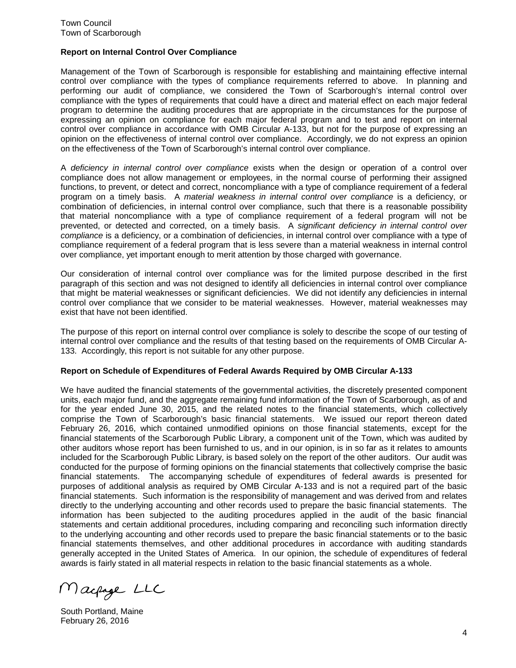#### **Report on Internal Control Over Compliance**

Management of the Town of Scarborough is responsible for establishing and maintaining effective internal control over compliance with the types of compliance requirements referred to above. In planning and performing our audit of compliance, we considered the Town of Scarborough's internal control over compliance with the types of requirements that could have a direct and material effect on each major federal program to determine the auditing procedures that are appropriate in the circumstances for the purpose of expressing an opinion on compliance for each major federal program and to test and report on internal control over compliance in accordance with OMB Circular A-133, but not for the purpose of expressing an opinion on the effectiveness of internal control over compliance. Accordingly, we do not express an opinion on the effectiveness of the Town of Scarborough's internal control over compliance.

A *deficiency in internal control over compliance* exists when the design or operation of a control over compliance does not allow management or employees, in the normal course of performing their assigned functions, to prevent, or detect and correct, noncompliance with a type of compliance requirement of a federal program on a timely basis. A *material weakness in internal control over compliance* is a deficiency, or combination of deficiencies, in internal control over compliance, such that there is a reasonable possibility that material noncompliance with a type of compliance requirement of a federal program will not be prevented, or detected and corrected, on a timely basis. A *significant deficiency in internal control over compliance* is a deficiency, or a combination of deficiencies, in internal control over compliance with a type of compliance requirement of a federal program that is less severe than a material weakness in internal control over compliance, yet important enough to merit attention by those charged with governance.

Our consideration of internal control over compliance was for the limited purpose described in the first paragraph of this section and was not designed to identify all deficiencies in internal control over compliance that might be material weaknesses or significant deficiencies. We did not identify any deficiencies in internal control over compliance that we consider to be material weaknesses. However, material weaknesses may exist that have not been identified.

The purpose of this report on internal control over compliance is solely to describe the scope of our testing of internal control over compliance and the results of that testing based on the requirements of OMB Circular A-133. Accordingly, this report is not suitable for any other purpose.

### **Report on Schedule of Expenditures of Federal Awards Required by OMB Circular A-133**

We have audited the financial statements of the governmental activities, the discretely presented component units, each major fund, and the aggregate remaining fund information of the Town of Scarborough, as of and for the year ended June 30, 2015, and the related notes to the financial statements, which collectively comprise the Town of Scarborough's basic financial statements. We issued our report thereon dated February 26, 2016, which contained unmodified opinions on those financial statements, except for the financial statements of the Scarborough Public Library, a component unit of the Town, which was audited by other auditors whose report has been furnished to us, and in our opinion, is in so far as it relates to amounts included for the Scarborough Public Library, is based solely on the report of the other auditors. Our audit was conducted for the purpose of forming opinions on the financial statements that collectively comprise the basic financial statements. The accompanying schedule of expenditures of federal awards is presented for purposes of additional analysis as required by OMB Circular A-133 and is not a required part of the basic financial statements. Such information is the responsibility of management and was derived from and relates directly to the underlying accounting and other records used to prepare the basic financial statements. The information has been subjected to the auditing procedures applied in the audit of the basic financial statements and certain additional procedures, including comparing and reconciling such information directly to the underlying accounting and other records used to prepare the basic financial statements or to the basic financial statements themselves, and other additional procedures in accordance with auditing standards generally accepted in the United States of America. In our opinion, the schedule of expenditures of federal awards is fairly stated in all material respects in relation to the basic financial statements as a whole.

Macpage LLC

South Portland, Maine February 26, 2016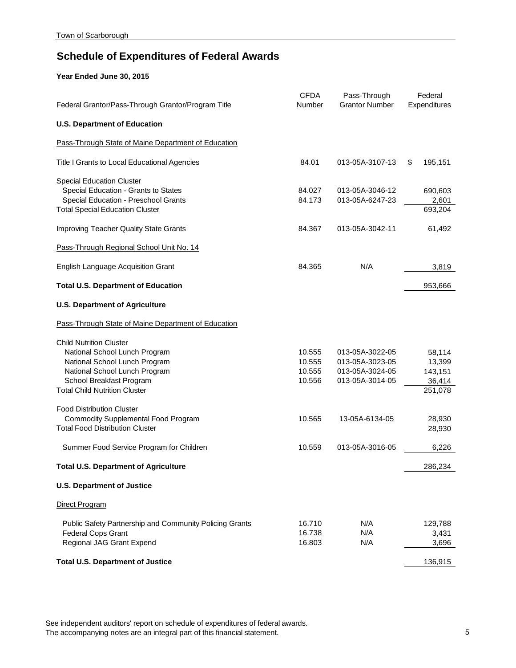## **Schedule of Expenditures of Federal Awards**

### **Year Ended June 30, 2015**

| Federal Grantor/Pass-Through Grantor/Program Title                                                                                                                                                    | <b>CFDA</b><br>Number                | Pass-Through<br><b>Grantor Number</b>                                    | Federal<br>Expenditures                          |
|-------------------------------------------------------------------------------------------------------------------------------------------------------------------------------------------------------|--------------------------------------|--------------------------------------------------------------------------|--------------------------------------------------|
| <b>U.S. Department of Education</b>                                                                                                                                                                   |                                      |                                                                          |                                                  |
| Pass-Through State of Maine Department of Education                                                                                                                                                   |                                      |                                                                          |                                                  |
| Title I Grants to Local Educational Agencies                                                                                                                                                          | 84.01                                | 013-05A-3107-13                                                          | \$<br>195,151                                    |
| <b>Special Education Cluster</b><br>Special Education - Grants to States<br>Special Education - Preschool Grants<br><b>Total Special Education Cluster</b>                                            | 84.027<br>84.173                     | 013-05A-3046-12<br>013-05A-6247-23                                       | 690,603<br>2,601<br>693,204                      |
| Improving Teacher Quality State Grants                                                                                                                                                                | 84.367                               | 013-05A-3042-11                                                          | 61,492                                           |
| Pass-Through Regional School Unit No. 14                                                                                                                                                              |                                      |                                                                          |                                                  |
| <b>English Language Acquisition Grant</b>                                                                                                                                                             | 84.365                               | N/A                                                                      | 3,819                                            |
| <b>Total U.S. Department of Education</b>                                                                                                                                                             |                                      |                                                                          | 953,666                                          |
| <b>U.S. Department of Agriculture</b>                                                                                                                                                                 |                                      |                                                                          |                                                  |
| Pass-Through State of Maine Department of Education                                                                                                                                                   |                                      |                                                                          |                                                  |
| <b>Child Nutrition Cluster</b><br>National School Lunch Program<br>National School Lunch Program<br>National School Lunch Program<br>School Breakfast Program<br><b>Total Child Nutrition Cluster</b> | 10.555<br>10.555<br>10.555<br>10.556 | 013-05A-3022-05<br>013-05A-3023-05<br>013-05A-3024-05<br>013-05A-3014-05 | 58,114<br>13,399<br>143,151<br>36,414<br>251,078 |
| <b>Food Distribution Cluster</b><br><b>Commodity Supplemental Food Program</b><br><b>Total Food Distribution Cluster</b>                                                                              | 10.565                               | 13-05A-6134-05                                                           | 28,930<br>28,930                                 |
| Summer Food Service Program for Children                                                                                                                                                              | 10.559                               | 013-05A-3016-05                                                          | 6,226                                            |
| <b>Total U.S. Department of Agriculture</b>                                                                                                                                                           |                                      |                                                                          | 286,234                                          |
| <b>U.S. Department of Justice</b>                                                                                                                                                                     |                                      |                                                                          |                                                  |
| Direct Program                                                                                                                                                                                        |                                      |                                                                          |                                                  |
| Public Safety Partnership and Community Policing Grants<br><b>Federal Cops Grant</b><br>Regional JAG Grant Expend                                                                                     | 16.710<br>16.738<br>16.803           | N/A<br>N/A<br>N/A                                                        | 129,788<br>3,431<br>3,696                        |
| <b>Total U.S. Department of Justice</b>                                                                                                                                                               |                                      |                                                                          | 136,915                                          |

See independent auditors' report on schedule of expenditures of federal awards. The accompanying notes are an integral part of this financial statement. The accompanying notes are an integral part of this financial statement.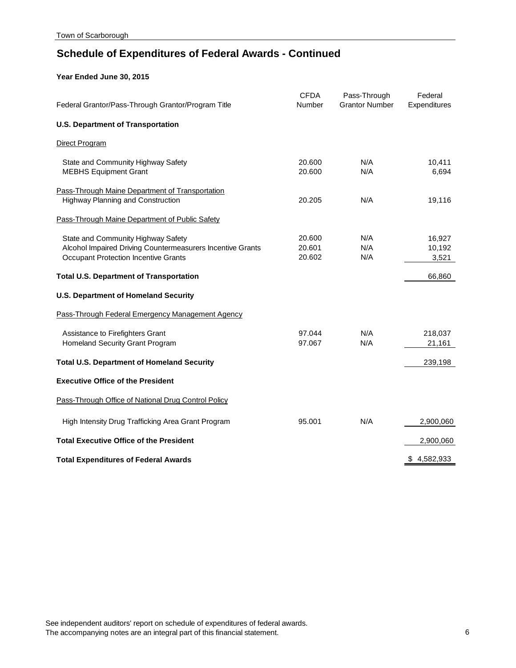## **Schedule of Expenditures of Federal Awards - Continued**

### **Year Ended June 30, 2015**

| Federal Grantor/Pass-Through Grantor/Program Title                                                                                              | <b>CFDA</b><br>Number      | Pass-Through<br><b>Grantor Number</b> | Federal<br>Expenditures   |
|-------------------------------------------------------------------------------------------------------------------------------------------------|----------------------------|---------------------------------------|---------------------------|
| <b>U.S. Department of Transportation</b>                                                                                                        |                            |                                       |                           |
| Direct Program                                                                                                                                  |                            |                                       |                           |
| State and Community Highway Safety<br><b>MEBHS Equipment Grant</b>                                                                              | 20.600<br>20.600           | N/A<br>N/A                            | 10,411<br>6,694           |
| Pass-Through Maine Department of Transportation<br>Highway Planning and Construction                                                            | 20.205                     | N/A                                   | 19,116                    |
| Pass-Through Maine Department of Public Safety                                                                                                  |                            |                                       |                           |
| State and Community Highway Safety<br>Alcohol Impaired Driving Countermeasurers Incentive Grants<br><b>Occupant Protection Incentive Grants</b> | 20.600<br>20.601<br>20.602 | N/A<br>N/A<br>N/A                     | 16,927<br>10,192<br>3,521 |
| <b>Total U.S. Department of Transportation</b>                                                                                                  |                            |                                       | 66,860                    |
| <b>U.S. Department of Homeland Security</b>                                                                                                     |                            |                                       |                           |
| Pass-Through Federal Emergency Management Agency                                                                                                |                            |                                       |                           |
| Assistance to Firefighters Grant<br>Homeland Security Grant Program                                                                             | 97.044<br>97.067           | N/A<br>N/A                            | 218,037<br>21,161         |
| <b>Total U.S. Department of Homeland Security</b>                                                                                               |                            |                                       | 239,198                   |
| <b>Executive Office of the President</b>                                                                                                        |                            |                                       |                           |
| Pass-Through Office of National Drug Control Policy                                                                                             |                            |                                       |                           |
| High Intensity Drug Trafficking Area Grant Program                                                                                              | 95.001                     | N/A                                   | 2,900,060                 |
| <b>Total Executive Office of the President</b>                                                                                                  |                            |                                       | 2,900,060                 |
| <b>Total Expenditures of Federal Awards</b>                                                                                                     |                            |                                       | \$4,582,933               |

See independent auditors' report on schedule of expenditures of federal awards. The accompanying notes are an integral part of this financial statement. The accompanying notes are an integral part of this financial statement.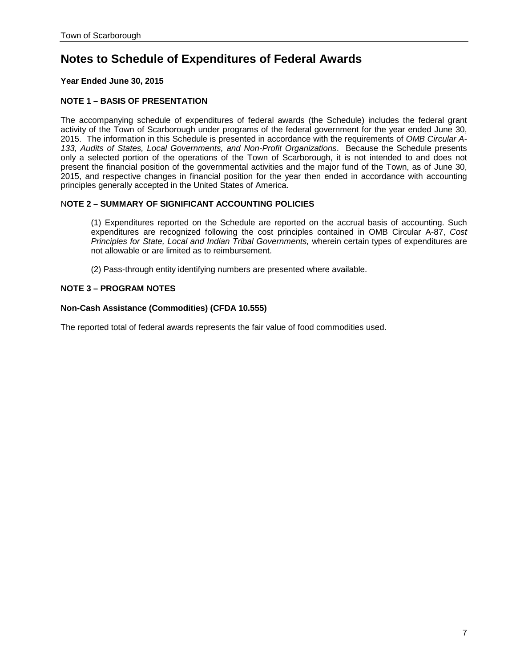## **Notes to Schedule of Expenditures of Federal Awards**

### **Year Ended June 30, 2015**

### **NOTE 1 – BASIS OF PRESENTATION**

The accompanying schedule of expenditures of federal awards (the Schedule) includes the federal grant activity of the Town of Scarborough under programs of the federal government for the year ended June 30, 2015. The information in this Schedule is presented in accordance with the requirements of *OMB Circular A-133, Audits of States, Local Governments, and Non-Profit Organizations*. Because the Schedule presents only a selected portion of the operations of the Town of Scarborough, it is not intended to and does not present the financial position of the governmental activities and the major fund of the Town, as of June 30, 2015, and respective changes in financial position for the year then ended in accordance with accounting principles generally accepted in the United States of America.

### N**OTE 2 – SUMMARY OF SIGNIFICANT ACCOUNTING POLICIES**

(1) Expenditures reported on the Schedule are reported on the accrual basis of accounting. Such expenditures are recognized following the cost principles contained in OMB Circular A-87, *Cost Principles for State, Local and Indian Tribal Governments,* wherein certain types of expenditures are not allowable or are limited as to reimbursement.

(2) Pass-through entity identifying numbers are presented where available.

### **NOTE 3 – PROGRAM NOTES**

### **Non-Cash Assistance (Commodities) (CFDA 10.555)**

The reported total of federal awards represents the fair value of food commodities used.